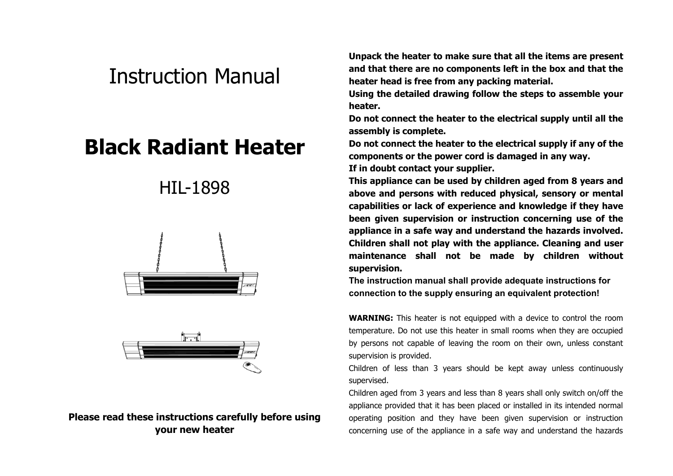# Instruction Manual

# **Black Radiant Heater**

## HIL-1898





#### **Please read these instructions carefully before using your new heater**

**Unpack the heater to make sure that all the items are present and that there are no components left in the box and that the heater head is free from any packing material.**

**Using the detailed drawing follow the steps to assemble your heater.**

**Do not connect the heater to the electrical supply until all the assembly is complete.**

**Do not connect the heater to the electrical supply if any of the components or the power cord is damaged in any way.**

**If in doubt contact your supplier.**

**This appliance can be used by children aged from 8 years and above and persons with reduced physical, sensory or mental capabilities or lack of experience and knowledge if they have been given supervision or instruction concerning use of the appliance in a safe way and understand the hazards involved. Children shall not play with the appliance. Cleaning and user maintenance shall not be made by children without supervision.**

**The instruction manual shall provide adequate instructions for connection to the supply ensuring an equivalent protection!**

**WARNING:** This heater is not equipped with a device to control the room temperature. Do not use this heater in small rooms when they are occupied by persons not capable of leaving the room on their own, unless constant supervision is provided.

Children of less than 3 years should be kept away unless continuously supervised.

Children aged from 3 years and less than 8 years shall only switch on/off the appliance provided that it has been placed or installed in its intended normal operating position and they have been given supervision or instruction concerning use of the appliance in a safe way and understand the hazards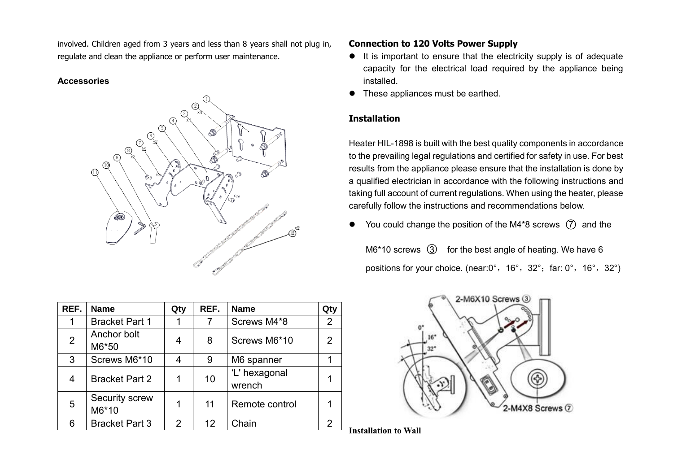involved. Children aged from 3 years and less than 8 years shall not plug in, regulate and clean the appliance or perform user maintenance.

#### **Accessories**



| REF.           | <b>Name</b>             | Qty | REF. | <b>Name</b>             | Qty         |
|----------------|-------------------------|-----|------|-------------------------|-------------|
|                | <b>Bracket Part 1</b>   |     | 7    | Screws M4*8             | $2^{\circ}$ |
| $\overline{2}$ | Anchor bolt<br>M6*50    |     | 8    | Screws M6*10            | 2           |
| 3              | Screws M6*10            |     | 9    | M6 spanner              |             |
| 4              | <b>Bracket Part 2</b>   |     | 10   | 'L' hexagonal<br>wrench |             |
| 5              | Security screw<br>M6*10 |     | 11   | Remote control          |             |
| 6              | <b>Bracket Part 3</b>   | 2   | 12   | Chain                   | 2           |

#### **Connection to 120 Volts Power Supply**

- It is important to ensure that the electricity supply is of adequate capacity for the electrical load required by the appliance being installed.
- These appliances must be earthed.

#### **Installation**

Heater HIL-1898 is built with the best quality components in accordance to the prevailing legal regulations and certified for safety in use. For best results from the appliance please ensure that the installation is done by a qualified electrician in accordance with the following instructions and taking full account of current regulations. When using the heater, please carefully follow the instructions and recommendations below.

 $\bullet$  You could change the position of the M4\*8 screws  $(7)$  and the

 $M6*10$  screws  $(3)$  for the best angle of heating. We have 6 positions for your choice. (near: 0°, 16°, 32°; far: 0°, 16°, 32°)



**Installation to Wall**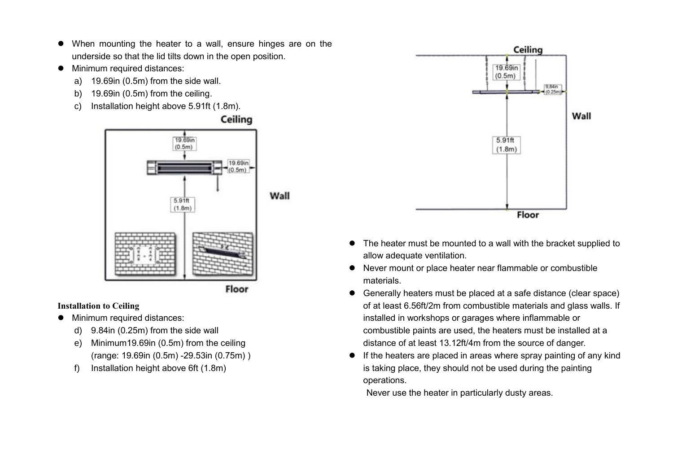- When mounting the heater to a wall, ensure hinges are on the underside so that the lid tilts down in the open position.
- $\bullet$  Minimum required distances:
	- a) 19.69in (0.5m) from the side wall.
	- b) 19.69in (0.5m) from the ceiling.
	- c) Installation height above 5.91ft (1.8m).

Ceiling



#### **Installation to Ceiling**

- Minimum required distances:
	- d) 9.84in (0.25m) from the side wall
	- e) Minimum19.69in (0.5m) from the ceiling (range: 19.69in (0.5m) -29.53in (0.75m) )
	- f) Installation height above 6ft (1.8m)



- The heater must be mounted to a wall with the bracket supplied to allow adequate ventilation.
- Never mount or place heater near flammable or combustible materials.
- Generally heaters must be placed at a safe distance (clear space) of at least 6.56ft/2m from combustible materials and glass walls. If installed in workshops or garages where inflammable or combustible paints are used, the heaters must be installed at a distance of at least 13.12ft/4m from the source of danger.
- If the heaters are placed in areas where spray painting of any kind is taking place, they should not be used during the painting operations.

Never use the heater in particularly dusty areas.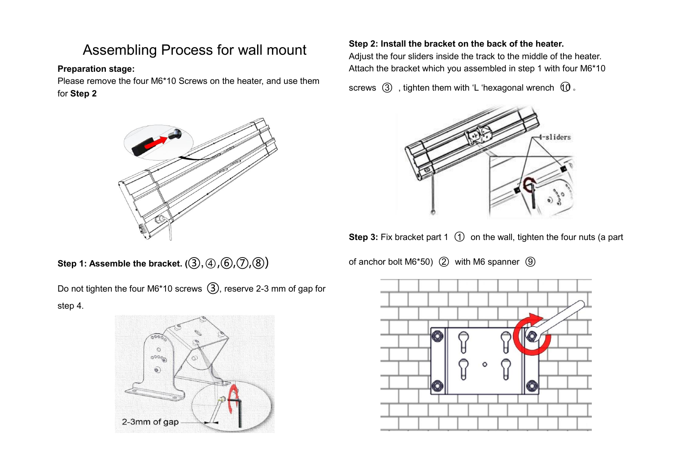## Assembling Process for wall mount

#### **Preparation stage:**

Please remove the four M6\*10 Screws on the heater, and use them for **Step 2**



**Step 1: Assemble the bracket. (③, ④, ⑥, ⑦, ⑧)** 

Do not tighten the four M6\*10 screws ③, reserve 2-3 mm of gap for step 4.



#### **Step 2: Install the bracket on the back of the heater.**

Adjust the four sliders inside the track to the middle of the heater. Attach the bracket which you assembled in step 1 with four M6\*10

screws  $(3)$ , tighten them with 'L 'hexagonal wrench  $(10)$ .



**Step 3:** Fix bracket part 1 (1) on the wall, tighten the four nuts (a part

of anchor bolt M6 $*50$ ) (2) with M6 spanner  $\circled{9}$ 

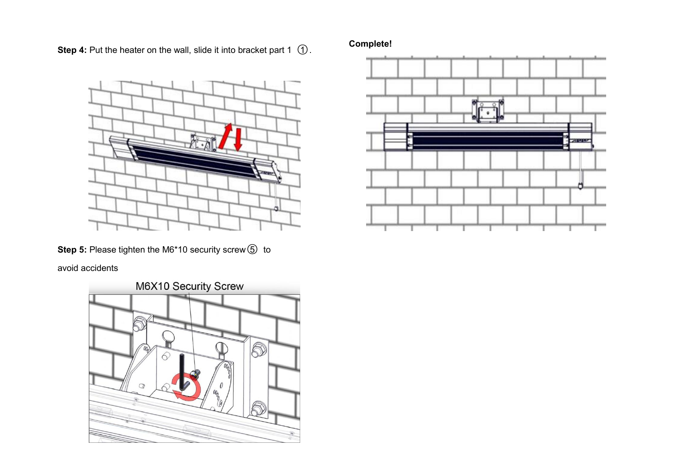**Step 4:** Put the heater on the wall, slide it into bracket part 1 ①.



**Step 5:** Please tighten the M6\*10 security screw ⑤ to

avoid accidents



#### **Complete!**

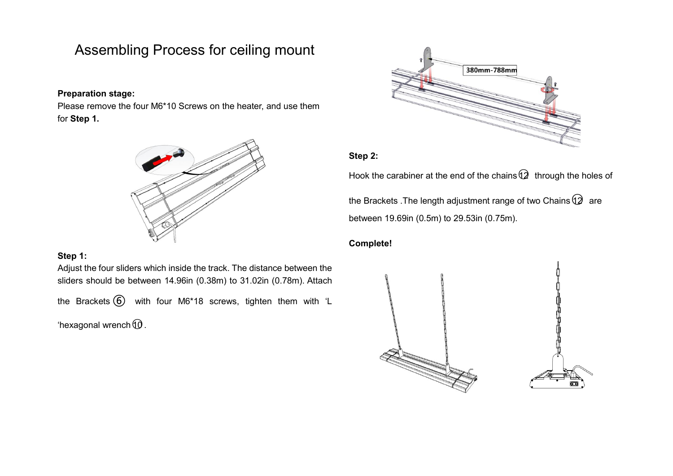### Assembling Process for ceiling mount

#### **Preparation stage:**

Please remove the four M6\*10 Screws on the heater, and use them for **Step 1.**



#### **Step 1:**

Adjust the four sliders which inside the track. The distance between the sliders should be between 14.96in (0.38m) to 31.02in (0.78m). Attach the Brackets ⑥ with four M6\*18 screws, tighten them with 'L 'hexagonal wrench $$\omega$$ .



#### **Step 2:**

Hook the carabiner at the end of the chains $\mathbb Q$  through the holes of

the Brackets . The length adjustment range of two Chains  $\mathbb{Q}$  are between 19.69in (0.5m) to 29.53in (0.75m).

#### **Complete!**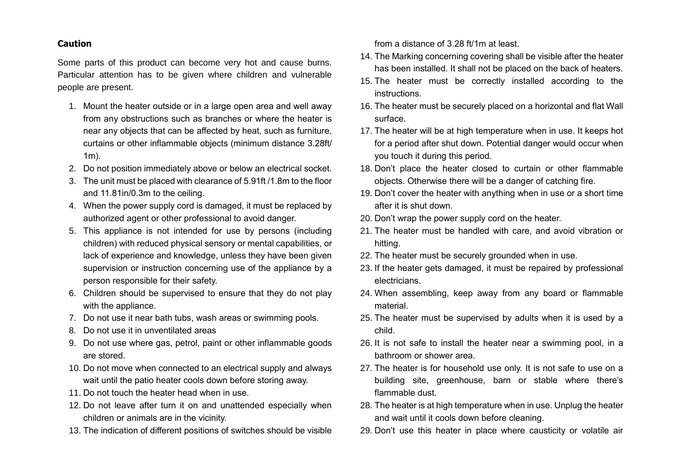#### **Caution**

Some parts of this product can become very hot and cause burns. Particular attention has to be given where children and vulnerable people are present.

- 1. Mount the heater outside or in a large open area and well away from any obstructions such as branches or where the heater is near any objects that can be affected by heat, such as furniture, curtains or other inflammable objects (minimum distance 3.28ft/ 1m).
- 2. Do not position immediately above or below an electrical socket.
- 3. The unit must be placed with clearance of 5.91ft /1.8m to the floor and 11.81in/0.3m to the ceiling.
- 4. When the power supply cord is damaged, it must be replaced by authorized agent or other professional to avoid danger.
- 5. This appliance is not intended for use by persons (including children) with reduced physical sensory or mental capabilities, or lack of experience and knowledge, unless they have been given supervision or instruction concerning use of the appliance by a person responsible for their safety.
- 6. Children should be supervised to ensure that they do not play with the appliance.
- 7. Do not use it near bath tubs, wash areas or swimming pools.
- 8. Do not use it in unventilated areas
- 9. Do not use where gas, petrol, paint or other inflammable goods are stored.
- 10. Do not move when connected to an electrical supply and always wait until the patio heater cools down before storing away.
- 11. Do not touch the heater head when in use.
- 12. Do not leave after turn it on and unattended especially when children or animals are in the vicinity.
- 13. The indication of different positions of switches should be visible

from a distance of 3.28 ft/1m at least.

- 14. The Marking concerning covering shall be visible after the heater has been installed. It shall not be placed on the back of heaters.
- 15. The heater must be correctly installed according to the instructions.
- 16. The heater must be securely placed on a horizontal and flat Wall surface.
- 17. The heater will be at high temperature when in use. It keeps hot for a period after shut down. Potential danger would occur when you touch it during this period.
- 18. Don't place the heater closed to curtain or other flammable objects. Otherwise there will be a danger of catching fire.
- 19. Don't cover the heater with anything when in use or a short time after it is shut down.
- 20. Don't wrap the power supply cord on the heater.
- 21. The heater must be handled with care, and avoid vibration or hitting.
- 22. The heater must be securely grounded when in use.
- 23. If the heater gets damaged, it must be repaired by professional electricians.
- 24. When assembling, keep away from any board or flammable material.
- 25. The heater must be supervised by adults when it is used by a child.
- 26. It is not safe to install the heater near a swimming pool, in a bathroom or shower area.
- 27. The heater is for household use only. It is not safe to use on a building site, greenhouse, barn or stable where there's flammable dust.
- 28. The heater is at high temperature when in use. Unplug the heater and wait until it cools down before cleaning.
- 29. Don't use this heater in place where causticity or volatile air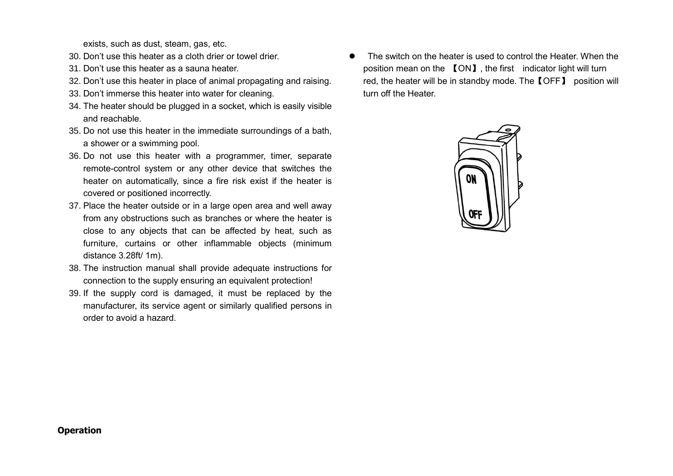exists, such as dust, steam, gas, etc.

- 30. Don't use this heater as a cloth drier or towel drier.
- 31. Don't use this heater as a sauna heater.
- 32. Don't use this heater in place of animal propagating and raising.
- 33. Don't immerse this heater into water for cleaning.
- 34. The heater should be plugged in a socket, which is easily visible and reachable.
- 35. Do not use this heater in the immediate surroundings of a bath, a shower or a swimming pool.
- 36. Do not use this heater with a programmer, timer, separate remote-control system or any other device that switches the heater on automatically, since a fire risk exist if the heater is covered or positioned incorrectly.
- 37. Place the heater outside or in a large open area and well away from any obstructions such as branches or where the heater is close to any objects that can be affected by heat, such as furniture, curtains or other inflammable objects (minimum distance 3.28ft/ 1m).
- 38. The instruction manual shall provide adequate instructions for connection to the supply ensuring an equivalent protection!
- 39. If the supply cord is damaged, it must be replaced by the manufacturer, its service agent or similarly qualified persons in order to avoid a hazard.

 The switch on the heater is used to control the Heater. When the position mean on the 【ON】, the first indicator light will turn red, the heater will be in standby mode. The【OFF】 position will turn off the Heater.



#### **Operation**